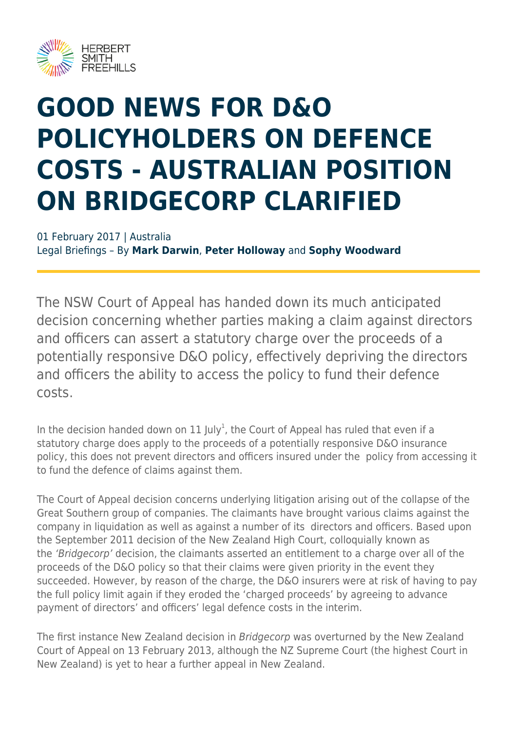

# **GOOD NEWS FOR D&O POLICYHOLDERS ON DEFENCE COSTS - AUSTRALIAN POSITION ON BRIDGECORP CLARIFIED**

01 February 2017 | Australia Legal Briefings – By **Mark Darwin**, **Peter Holloway** and **Sophy Woodward**

The NSW Court of Appeal has handed down its much anticipated decision concerning whether parties making a claim against directors and officers can assert a statutory charge over the proceeds of a potentially responsive D&O policy, effectively depriving the directors and officers the ability to access the policy to fund their defence costs.

In the decision handed down on 11 July<sup>1</sup>, the Court of Appeal has ruled that even if a statutory charge does apply to the proceeds of a potentially responsive D&O insurance policy, this does not prevent directors and officers insured under the policy from accessing it to fund the defence of claims against them.

The Court of Appeal decision concerns underlying litigation arising out of the collapse of the Great Southern group of companies. The claimants have brought various claims against the company in liquidation as well as against a number of its directors and officers. Based upon the September 2011 decision of the New Zealand High Court, colloquially known as the 'Bridgecorp' decision, the claimants asserted an entitlement to a charge over all of the proceeds of the D&O policy so that their claims were given priority in the event they succeeded. However, by reason of the charge, the D&O insurers were at risk of having to pay the full policy limit again if they eroded the 'charged proceeds' by agreeing to advance payment of directors' and officers' legal defence costs in the interim.

The first instance New Zealand decision in Bridgecorp was overturned by the New Zealand Court of Appeal on 13 February 2013, although the NZ Supreme Court (the highest Court in New Zealand) is yet to hear a further appeal in New Zealand.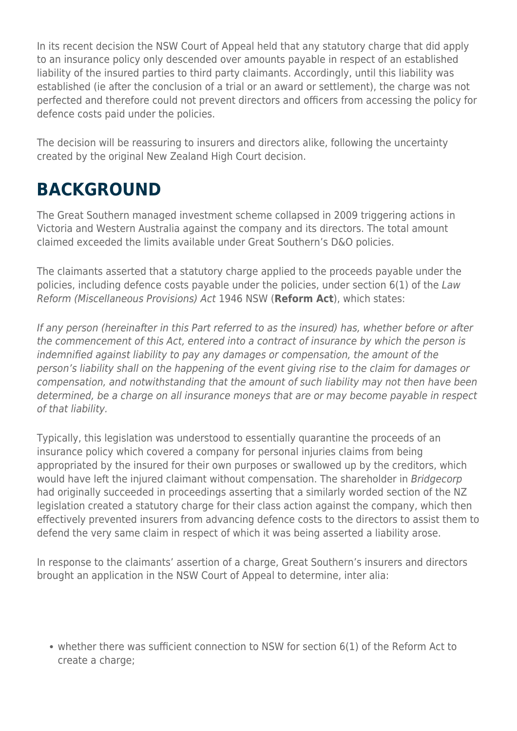In its recent decision the NSW Court of Appeal held that any statutory charge that did apply to an insurance policy only descended over amounts payable in respect of an established liability of the insured parties to third party claimants. Accordingly, until this liability was established (ie after the conclusion of a trial or an award or settlement), the charge was not perfected and therefore could not prevent directors and officers from accessing the policy for defence costs paid under the policies.

The decision will be reassuring to insurers and directors alike, following the uncertainty created by the original New Zealand High Court decision.

### **BACKGROUND**

The Great Southern managed investment scheme collapsed in 2009 triggering actions in Victoria and Western Australia against the company and its directors. The total amount claimed exceeded the limits available under Great Southern's D&O policies.

The claimants asserted that a statutory charge applied to the proceeds payable under the policies, including defence costs payable under the policies, under section 6(1) of the Law Reform (Miscellaneous Provisions) Act 1946 NSW (**Reform Act**), which states:

If any person (hereinafter in this Part referred to as the insured) has, whether before or after the commencement of this Act, entered into a contract of insurance by which the person is indemnified against liability to pay any damages or compensation, the amount of the person's liability shall on the happening of the event giving rise to the claim for damages or compensation, and notwithstanding that the amount of such liability may not then have been determined, be a charge on all insurance moneys that are or may become payable in respect of that liability.

Typically, this legislation was understood to essentially quarantine the proceeds of an insurance policy which covered a company for personal injuries claims from being appropriated by the insured for their own purposes or swallowed up by the creditors, which would have left the injured claimant without compensation. The shareholder in Bridgecorp had originally succeeded in proceedings asserting that a similarly worded section of the NZ legislation created a statutory charge for their class action against the company, which then effectively prevented insurers from advancing defence costs to the directors to assist them to defend the very same claim in respect of which it was being asserted a liability arose.

In response to the claimants' assertion of a charge, Great Southern's insurers and directors brought an application in the NSW Court of Appeal to determine, inter alia:

whether there was sufficient connection to NSW for section 6(1) of the Reform Act to create a charge;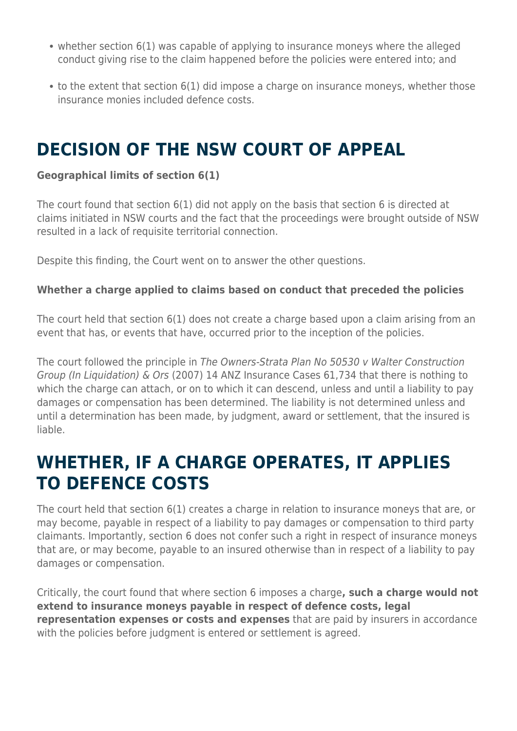- whether section 6(1) was capable of applying to insurance moneys where the alleged conduct giving rise to the claim happened before the policies were entered into; and
- to the extent that section 6(1) did impose a charge on insurance moneys, whether those insurance monies included defence costs.

### **DECISION OF THE NSW COURT OF APPEAL**

#### **Geographical limits of section 6(1)**

The court found that section 6(1) did not apply on the basis that section 6 is directed at claims initiated in NSW courts and the fact that the proceedings were brought outside of NSW resulted in a lack of requisite territorial connection.

Despite this finding, the Court went on to answer the other questions.

#### **Whether a charge applied to claims based on conduct that preceded the policies**

The court held that section 6(1) does not create a charge based upon a claim arising from an event that has, or events that have, occurred prior to the inception of the policies.

The court followed the principle in The Owners-Strata Plan No 50530 v Walter Construction Group (In Liquidation) & Ors (2007) 14 ANZ Insurance Cases 61,734 that there is nothing to which the charge can attach, or on to which it can descend, unless and until a liability to pay damages or compensation has been determined. The liability is not determined unless and until a determination has been made, by judgment, award or settlement, that the insured is liable.

#### **WHETHER, IF A CHARGE OPERATES, IT APPLIES TO DEFENCE COSTS**

The court held that section 6(1) creates a charge in relation to insurance moneys that are, or may become, payable in respect of a liability to pay damages or compensation to third party claimants. Importantly, section 6 does not confer such a right in respect of insurance moneys that are, or may become, payable to an insured otherwise than in respect of a liability to pay damages or compensation.

Critically, the court found that where section 6 imposes a charge**, such a charge would not extend to insurance moneys payable in respect of defence costs, legal representation expenses or costs and expenses** that are paid by insurers in accordance with the policies before judgment is entered or settlement is agreed.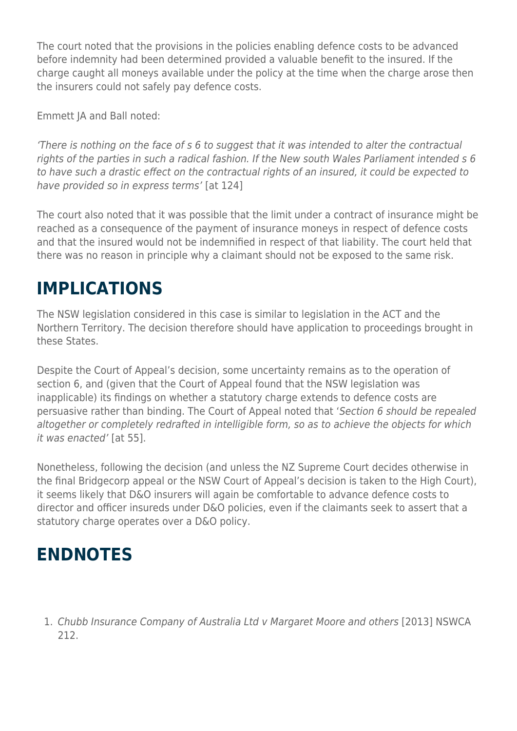The court noted that the provisions in the policies enabling defence costs to be advanced before indemnity had been determined provided a valuable benefit to the insured. If the charge caught all moneys available under the policy at the time when the charge arose then the insurers could not safely pay defence costs.

Emmett JA and Ball noted:

'There is nothing on the face of s 6 to suggest that it was intended to alter the contractual rights of the parties in such a radical fashion. If the New south Wales Parliament intended s 6 to have such a drastic effect on the contractual rights of an insured, it could be expected to have provided so in express terms' [at 124]

The court also noted that it was possible that the limit under a contract of insurance might be reached as a consequence of the payment of insurance moneys in respect of defence costs and that the insured would not be indemnified in respect of that liability. The court held that there was no reason in principle why a claimant should not be exposed to the same risk.

### **IMPLICATIONS**

The NSW legislation considered in this case is similar to legislation in the ACT and the Northern Territory. The decision therefore should have application to proceedings brought in these States.

Despite the Court of Appeal's decision, some uncertainty remains as to the operation of section 6, and (given that the Court of Appeal found that the NSW legislation was inapplicable) its findings on whether a statutory charge extends to defence costs are persuasive rather than binding. The Court of Appeal noted that 'Section 6 should be repealed altogether or completely redrafted in intelligible form, so as to achieve the objects for which it was enacted' [at 55].

Nonetheless, following the decision (and unless the NZ Supreme Court decides otherwise in the final Bridgecorp appeal or the NSW Court of Appeal's decision is taken to the High Court), it seems likely that D&O insurers will again be comfortable to advance defence costs to director and officer insureds under D&O policies, even if the claimants seek to assert that a statutory charge operates over a D&O policy.

#### **ENDNOTES**

1. Chubb Insurance Company of Australia Ltd v Margaret Moore and others [2013] NSWCA 212.